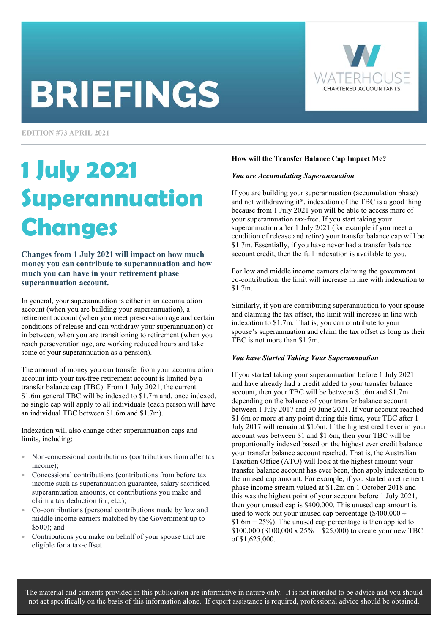# **BRIEFINGS**



**EDITION #73 APRIL 2021** 

# **1 July 2021 Superannuation Changes**

**Changes from 1 July 2021 will impact on how much money you can contribute to superannuation and how much you can have in your retirement phase superannuation account.** 

In general, your superannuation is either in an accumulation account (when you are building your superannuation), a retirement account (when you meet preservation age and certain conditions of release and can withdraw your superannuation) or in between, when you are transitioning to retirement (when you reach perseveration age, are working reduced hours and take some of your superannuation as a pension).

The amount of money you can transfer from your accumulation account into your tax-free retirement account is limited by a transfer balance cap (TBC). From 1 July 2021, the current \$1.6m general TBC will be indexed to \$1.7m and, once indexed, no single cap will apply to all individuals (each person will have an individual TBC between \$1.6m and \$1.7m).

Indexation will also change other superannuation caps and limits, including:

- Non-concessional contributions (contributions from after tax income);
- Concessional contributions (contributions from before tax income such as superannuation guarantee, salary sacrificed superannuation amounts, or contributions you make and claim a tax deduction for, etc.);
- Co-contributions (personal contributions made by low and middle income earners matched by the Government up to \$500); and
- Contributions you make on behalf of your spouse that are eligible for a tax-offset.

### **How will the Transfer Balance Cap Impact Me?**

### *You are Accumulating Superannuation*

If you are building your superannuation (accumulation phase) and not withdrawing it\*, indexation of the TBC is a good thing because from 1 July 2021 you will be able to access more of your superannuation tax-free. If you start taking your superannuation after 1 July 2021 (for example if you meet a condition of release and retire) your transfer balance cap will be \$1.7m. Essentially, if you have never had a transfer balance account credit, then the full indexation is available to you.

For low and middle income earners claiming the government co-contribution, the limit will increase in line with indexation to \$1.7m.

Similarly, if you are contributing superannuation to your spouse and claiming the tax offset, the limit will increase in line with indexation to \$1.7m. That is, you can contribute to your spouse's superannuation and claim the tax offset as long as their TBC is not more than \$1.7m.

### *You have Started Taking Your Superannuation*

If you started taking your superannuation before 1 July 2021 and have already had a credit added to your transfer balance account, then your TBC will be between \$1.6m and \$1.7m depending on the balance of your transfer balance account between 1 July 2017 and 30 June 2021. If your account reached \$1.6m or more at any point during this time, your TBC after 1 July 2017 will remain at \$1.6m. If the highest credit ever in your account was between \$1 and \$1.6m, then your TBC will be proportionally indexed based on the highest ever credit balance your transfer balance account reached. That is, the Australian Taxation Office (ATO) will look at the highest amount your transfer balance account has ever been, then apply indexation to the unused cap amount. For example, if you started a retirement phase income stream valued at \$1.2m on 1 October 2018 and this was the highest point of your account before 1 July 2021, then your unused cap is \$400,000. This unused cap amount is used to work out your unused cap percentage ( $$400,000 \div$  $$1.6m = 25\%$ ). The unused cap percentage is then applied to \$100,000 (\$100,000 x  $25\% =$ \$25,000) to create your new TBC of \$1,625,000.

The material and contents provided in this publication are informative in nature only. It is not intended to be advice and you should not act specifically on the basis of this information alone. If expert assistance is required, professional advice should be obtained.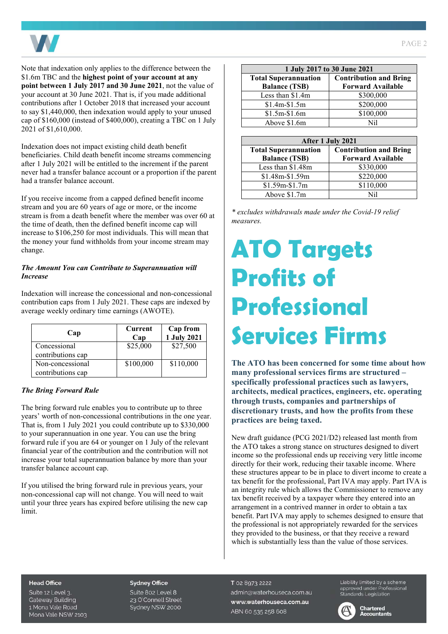

Note that indexation only applies to the difference between the \$1.6m TBC and the **highest point of your account at any point between 1 July 2017 and 30 June 2021**, not the value of your account at 30 June 2021. That is, if you made additional contributions after 1 October 2018 that increased your account to say \$1,440,000, then indexation would apply to your unused cap of \$160,000 (instead of \$400,000), creating a TBC on 1 July 2021 of \$1,610,000.

Indexation does not impact existing child death benefit beneficiaries. Child death benefit income streams commencing after 1 July 2021 will be entitled to the increment if the parent never had a transfer balance account or a proportion if the parent had a transfer balance account.

If you receive income from a capped defined benefit income stream and you are 60 years of age or more, or the income stream is from a death benefit where the member was over 60 at the time of death, then the defined benefit income cap will increase to \$106,250 for most individuals. This will mean that the money your fund withholds from your income stream may change.

### *The Amount You can Contribute to Superannuation will Increase*

Indexation will increase the concessional and non-concessional contribution caps from 1 July 2021. These caps are indexed by average weekly ordinary time earnings (AWOTE).

| Cap               | Current<br>Cap | Cap from<br>1 July 2021 |
|-------------------|----------------|-------------------------|
| Concessional      | \$25,000       | \$27,500                |
| contributions cap |                |                         |
| Non-concessional  | \$100,000      | \$110,000               |
| contributions cap |                |                         |

### *The Bring Forward Rule*

The bring forward rule enables you to contribute up to three years' worth of non-concessional contributions in the one year. That is, from 1 July 2021 you could contribute up to \$330,000 to your superannuation in one year. You can use the bring forward rule if you are 64 or younger on 1 July of the relevant financial year of the contribution and the contribution will not increase your total superannuation balance by more than your transfer balance account cap.

If you utilised the bring forward rule in previous years, your non-concessional cap will not change. You will need to wait until your three years has expired before utilising the new cap limit.

| 1 July 2017 to 30 June 2021 |                               |  |
|-----------------------------|-------------------------------|--|
| <b>Total Superannuation</b> | <b>Contribution and Bring</b> |  |
| <b>Balance (TSB)</b>        | <b>Forward Available</b>      |  |
| Less than \$1.4m            | \$300,000                     |  |
| \$1.4m\$1.5m                | \$200,000                     |  |
| $$1.5m-S1.6m$               | \$100,000                     |  |
| Above \$1.6m                | Nil                           |  |

| After 1 July 2021                                   |                                                           |  |
|-----------------------------------------------------|-----------------------------------------------------------|--|
| <b>Total Superannuation</b><br><b>Balance (TSB)</b> | <b>Contribution and Bring</b><br><b>Forward Available</b> |  |
| Less than \$1.48m                                   | \$330,000                                                 |  |
| $$1.48m-S1.59m$                                     | \$220,000                                                 |  |
| $$1.59m-S1.7m$                                      | \$110,000                                                 |  |
| Above \$1.7m                                        | Nil                                                       |  |

*\* excludes withdrawals made under the Covid-19 relief measures.* 

# **ATO Targets Profits of Professional Services Firms**

**The ATO has been concerned for some time about how many professional services firms are structured – specifically professional practices such as lawyers, architects, medical practices, engineers, etc. operating through trusts, companies and partnerships of discretionary trusts, and how the profits from these practices are being taxed.** 

New draft guidance (PCG 2021/D2) released last month from the ATO takes a strong stance on structures designed to divert income so the professional ends up receiving very little income directly for their work, reducing their taxable income. Where these structures appear to be in place to divert income to create a tax benefit for the professional, Part IVA may apply. Part IVA is an integrity rule which allows the Commissioner to remove any tax benefit received by a taxpayer where they entered into an arrangement in a contrived manner in order to obtain a tax benefit. Part IVA may apply to schemes designed to ensure that the professional is not appropriately rewarded for the services they provided to the business, or that they receive a reward which is substantially less than the value of those services.

#### **Head Office**

Suite 12 Level 3. **Gateway Building** 1 Mona Vale Road Mona Vale NSW 2103

#### **Sydney Office**

Suite 802 Level 8 23 O'Connell Street Sydney NSW 2000 T 02 8973 2222 admin@waterhouseca.com.au www.waterhouseca.com.au ABN 60 535 258 608

Liability limited by a scheme Elebrity immedibly a scrieme<br>approved under Professional<br>Standards Legislation

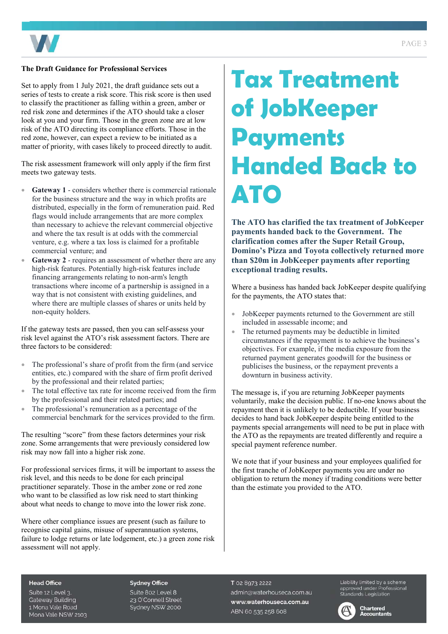

### **The Draft Guidance for Professional Services**

Set to apply from 1 July 2021, the draft guidance sets out a series of tests to create a risk score. This risk score is then used to classify the practitioner as falling within a green, amber or red risk zone and determines if the ATO should take a closer look at you and your firm. Those in the green zone are at low risk of the ATO directing its compliance efforts. Those in the red zone, however, can expect a review to be initiated as a matter of priority, with cases likely to proceed directly to audit.

The risk assessment framework will only apply if the firm first meets two gateway tests.

- Gateway 1 considers whether there is commercial rationale for the business structure and the way in which profits are distributed, especially in the form of remuneration paid. Red flags would include arrangements that are more complex than necessary to achieve the relevant commercial objective and where the tax result is at odds with the commercial venture, e.g. where a tax loss is claimed for a profitable commercial venture; and
- **Gateway 2** requires an assessment of whether there are any high-risk features. Potentially high-risk features include financing arrangements relating to non-arm's length transactions where income of a partnership is assigned in a way that is not consistent with existing guidelines, and where there are multiple classes of shares or units held by non-equity holders.

If the gateway tests are passed, then you can self-assess your risk level against the ATO's risk assessment factors. There are three factors to be considered:

- The professional's share of profit from the firm (and service entities, etc.) compared with the share of firm profit derived by the professional and their related parties;
- The total effective tax rate for income received from the firm by the professional and their related parties; and
- The professional's remuneration as a percentage of the commercial benchmark for the services provided to the firm.

The resulting "score" from these factors determines your risk zone. Some arrangements that were previously considered low risk may now fall into a higher risk zone.

For professional services firms, it will be important to assess the risk level, and this needs to be done for each principal practitioner separately. Those in the amber zone or red zone who want to be classified as low risk need to start thinking about what needs to change to move into the lower risk zone.

Where other compliance issues are present (such as failure to recognise capital gains, misuse of superannuation systems, failure to lodge returns or late lodgement, etc.) a green zone risk assessment will not apply.

# **Tax Treatment of JobKeeper Payments Handed Back to ATO**

**The ATO has clarified the tax treatment of JobKeeper payments handed back to the Government. The clarification comes after the Super Retail Group, Domino's Pizza and Toyota collectively returned more than \$20m in JobKeeper payments after reporting exceptional trading results.** 

Where a business has handed back JobKeeper despite qualifying for the payments, the ATO states that:

- JobKeeper payments returned to the Government are still included in assessable income; and
- The returned payments may be deductible in limited circumstances if the repayment is to achieve the business's objectives. For example, if the media exposure from the returned payment generates goodwill for the business or publicises the business, or the repayment prevents a downturn in business activity.

The message is, if you are returning JobKeeper payments voluntarily, make the decision public. If no-one knows about the repayment then it is unlikely to be deductible. If your business decides to hand back JobKeeper despite being entitled to the payments special arrangements will need to be put in place with the ATO as the repayments are treated differently and require a special payment reference number.

We note that if your business and your employees qualified for the first tranche of JobKeeper payments you are under no obligation to return the money if trading conditions were better than the estimate you provided to the ATO.

#### **Head Office**

Suite 12 Level 3. **Gateway Building** 1 Mona Vale Road Mona Vale NSW 2103

#### **Sydney Office**

Suite 802 Level 8 23 O'Connell Street Sydney NSW 2000

T 02 8973 2222 admin@waterhouseca.com.au www.waterhouseca.com.au ABN 60 535 258 608

Liability limited by a scheme approved under Professional<br>Standards Legislation